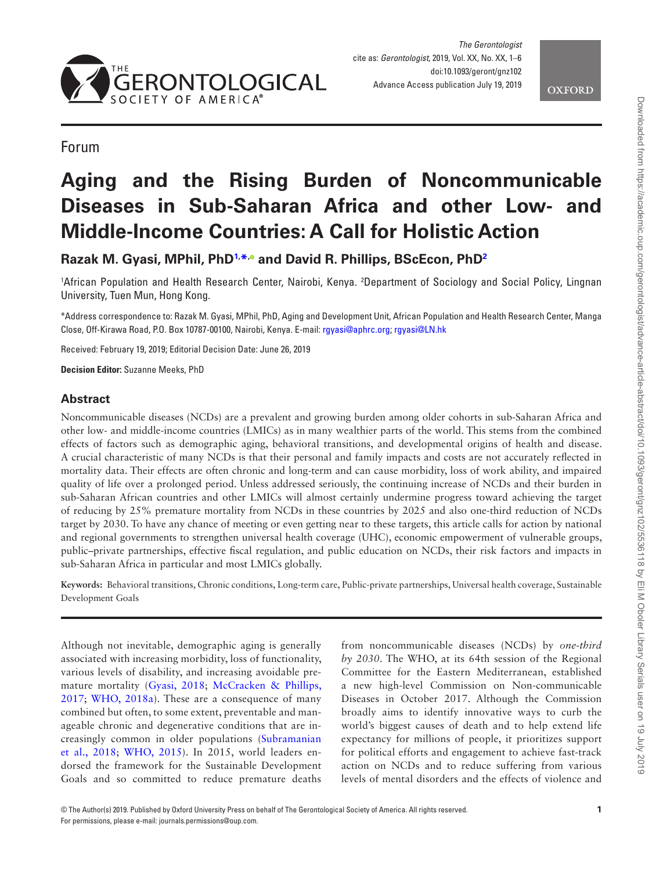



Forum

# **Aging and the Rising Burden of Noncommunicable Diseases in Sub-Saharan Africa and other Low- and Middle-Income Countries: A Call for Holistic Action**

**Razak M. Gyasi, MPhil, Ph[D1](#page-0-0), [\\*](#page-0-1)[,](http://orcid.org/0000-0002-6733-1539) and David R. Phillips, BScEcon, PhD[2](#page-0-2)**

<span id="page-0-2"></span><span id="page-0-0"></span>1 African Population and Health Research Center, Nairobi, Kenya. 2 Department of Sociology and Social Policy, Lingnan University, Tuen Mun, Hong Kong.

<span id="page-0-1"></span>\*Address correspondence to: Razak M. Gyasi, MPhil, PhD, Aging and Development Unit, African Population and Health Research Center, Manga Close, Off-Kirawa Road, P.O. Box 10787-00100, Nairobi, Kenya. E-mail: [rgyasi@aphrc.org](mailto:rgyasi@aphrc.org?subject=); [rgyasi@LN.hk](mailto:rgyasi@LN.hk?subject=)

Received: February 19, 2019; Editorial Decision Date: June 26, 2019

**Decision Editor:** Suzanne Meeks, PhD

# **Abstract**

Noncommunicable diseases (NCDs) are a prevalent and growing burden among older cohorts in sub-Saharan Africa and other low- and middle-income countries (LMICs) as in many wealthier parts of the world. This stems from the combined effects of factors such as demographic aging, behavioral transitions, and developmental origins of health and disease. A crucial characteristic of many NCDs is that their personal and family impacts and costs are not accurately reflected in mortality data. Their effects are often chronic and long-term and can cause morbidity, loss of work ability, and impaired quality of life over a prolonged period. Unless addressed seriously, the continuing increase of NCDs and their burden in sub-Saharan African countries and other LMICs will almost certainly undermine progress toward achieving the target of reducing by 25% premature mortality from NCDs in these countries by 2025 and also one-third reduction of NCDs target by 2030. To have any chance of meeting or even getting near to these targets, this article calls for action by national and regional governments to strengthen universal health coverage (UHC), economic empowerment of vulnerable groups, public–private partnerships, effective fiscal regulation, and public education on NCDs, their risk factors and impacts in sub-Saharan Africa in particular and most LMICs globally.

**Keywords:** Behavioral transitions, Chronic conditions, Long-term care, Public-private partnerships, Universal health coverage, Sustainable Development Goals

Although not inevitable, demographic aging is generally associated with increasing morbidity, loss of functionality, various levels of disability, and increasing avoidable premature mortality [\(Gyasi, 2018](#page-5-0); [McCracken & Phillips,](#page-5-1)  [2017;](#page-5-1) [WHO, 2018a\)](#page-5-2). These are a consequence of many combined but often, to some extent, preventable and manageable chronic and degenerative conditions that are increasingly common in older populations ([Subramanian](#page-5-3)  [et al., 2018](#page-5-3); [WHO, 2015\)](#page-5-4). In 2015, world leaders endorsed the framework for the Sustainable Development Goals and so committed to reduce premature deaths

from noncommunicable diseases (NCDs) by *one-third by 2030*. The WHO, at its 64th session of the Regional Committee for the Eastern Mediterranean, established a new high-level Commission on Non-communicable Diseases in October 2017. Although the Commission broadly aims to identify innovative ways to curb the world's biggest causes of death and to help extend life expectancy for millions of people, it prioritizes support for political efforts and engagement to achieve fast-track action on NCDs and to reduce suffering from various levels of mental disorders and the effects of violence and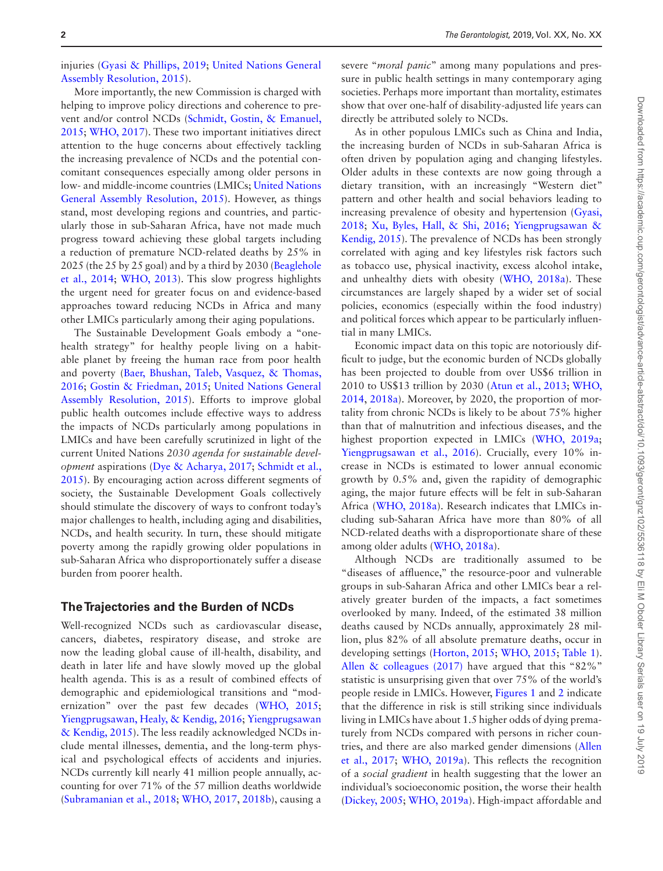injuries ([Gyasi & Phillips, 2019](#page-5-5); [United Nations General](#page-5-6)  [Assembly Resolution, 2015](#page-5-6)).

More importantly, the new Commission is charged with helping to improve policy directions and coherence to prevent and/or control NCDs ([Schmidt, Gostin, & Emanuel,](#page-5-7)  [2015](#page-5-7); [WHO, 2017\)](#page-5-8). These two important initiatives direct attention to the huge concerns about effectively tackling the increasing prevalence of NCDs and the potential concomitant consequences especially among older persons in low- and middle-income countries (LMICs; [United Nations](#page-5-6)  [General Assembly Resolution, 2015](#page-5-6)). However, as things stand, most developing regions and countries, and particularly those in sub-Saharan Africa, have not made much progress toward achieving these global targets including a reduction of premature NCD-related deaths by 25% in 2025 (the 25 by 25 goal) and by a third by 2030 [\(Beaglehole](#page-4-0)  [et al., 2014](#page-4-0); [WHO, 2013](#page-5-9)). This slow progress highlights the urgent need for greater focus on and evidence-based approaches toward reducing NCDs in Africa and many other LMICs particularly among their aging populations.

The Sustainable Development Goals embody a "onehealth strategy" for healthy people living on a habitable planet by freeing the human race from poor health and poverty [\(Baer, Bhushan, Taleb, Vasquez, & Thomas,](#page-4-1)  [2016](#page-4-1); [Gostin & Friedman, 2015;](#page-4-2) [United Nations General](#page-5-6)  [Assembly Resolution, 2015](#page-5-6)). Efforts to improve global public health outcomes include effective ways to address the impacts of NCDs particularly among populations in LMICs and have been carefully scrutinized in light of the current United Nations *2030 agenda for sustainable development* aspirations [\(Dye & Acharya, 2017](#page-4-3); [Schmidt et al.,](#page-5-7)  [2015](#page-5-7)). By encouraging action across different segments of society, the Sustainable Development Goals collectively should stimulate the discovery of ways to confront today's major challenges to health, including aging and disabilities, NCDs, and health security. In turn, these should mitigate poverty among the rapidly growing older populations in sub-Saharan Africa who disproportionately suffer a disease burden from poorer health.

#### **The Trajectories and the Burden of NCDs**

Well-recognized NCDs such as cardiovascular disease, cancers, diabetes, respiratory disease, and stroke are now the leading global cause of ill-health, disability, and death in later life and have slowly moved up the global health agenda. This is as a result of combined effects of demographic and epidemiological transitions and "modernization" over the past few decades ([WHO, 2015](#page-5-4); [Yiengprugsawan, Healy, & Kendig, 2016;](#page-5-10) [Yiengprugsawan](#page-5-11)  [& Kendig, 2015](#page-5-11)). The less readily acknowledged NCDs include mental illnesses, dementia, and the long-term physical and psychological effects of accidents and injuries. NCDs currently kill nearly 41 million people annually, accounting for over 71% of the 57 million deaths worldwide ([Subramanian et al., 2018](#page-5-3); [WHO, 2017,](#page-5-8) [2018b\)](#page-5-12), causing a

severe "*moral panic*" among many populations and pressure in public health settings in many contemporary aging societies. Perhaps more important than mortality, estimates show that over one-half of disability-adjusted life years can directly be attributed solely to NCDs.

As in other populous LMICs such as China and India, the increasing burden of NCDs in sub-Saharan Africa is often driven by population aging and changing lifestyles. Older adults in these contexts are now going through a dietary transition, with an increasingly "Western diet" pattern and other health and social behaviors leading to increasing prevalence of obesity and hypertension ([Gyasi,](#page-5-0)  [2018](#page-5-0); [Xu, Byles, Hall, & Shi, 2016](#page-5-13); [Yiengprugsawan &](#page-5-11)  [Kendig, 2015\)](#page-5-11). The prevalence of NCDs has been strongly correlated with aging and key lifestyles risk factors such as tobacco use, physical inactivity, excess alcohol intake, and unhealthy diets with obesity ([WHO, 2018a\)](#page-5-2). These circumstances are largely shaped by a wider set of social policies, economics (especially within the food industry) and political forces which appear to be particularly influential in many LMICs.

Economic impact data on this topic are notoriously difficult to judge, but the economic burden of NCDs globally has been projected to double from over US\$6 trillion in 2010 to US\$13 trillion by 2030 [\(Atun et al., 2013](#page-4-4); [WHO,](#page-5-14)  [2014](#page-5-14), [2018a\)](#page-5-2). Moreover, by 2020, the proportion of mortality from chronic NCDs is likely to be about 75% higher than that of malnutrition and infectious diseases, and the highest proportion expected in LMICs ([WHO, 2019a](#page-5-15); [Yiengprugsawan et al., 2016](#page-5-10)). Crucially, every 10% increase in NCDs is estimated to lower annual economic growth by 0.5% and, given the rapidity of demographic aging, the major future effects will be felt in sub-Saharan Africa ([WHO, 2018a\)](#page-5-2). Research indicates that LMICs including sub-Saharan Africa have more than 80% of all NCD-related deaths with a disproportionate share of these among older adults [\(WHO, 2018a\)](#page-5-2).

Although NCDs are traditionally assumed to be "diseases of affluence," the resource-poor and vulnerable groups in sub-Saharan Africa and other LMICs bear a relatively greater burden of the impacts, a fact sometimes overlooked by many. Indeed, of the estimated 38 million deaths caused by NCDs annually, approximately 28 million, plus 82% of all absolute premature deaths, occur in developing settings ([Horton, 2015;](#page-5-16) [WHO, 2015;](#page-5-4) [Table 1](#page-2-0)). [Allen & colleagues \(2017\)](#page-4-5) have argued that this "82%" statistic is unsurprising given that over 75% of the world's people reside in LMICs. However, [Figures 1](#page-2-1) and [2](#page-2-2) indicate that the difference in risk is still striking since individuals living in LMICs have about 1.5 higher odds of dying prematurely from NCDs compared with persons in richer countries, and there are also marked gender dimensions ([Allen](#page-4-5)  [et al., 2017;](#page-4-5) [WHO, 2019a\)](#page-5-15). This reflects the recognition of a *social gradient* in health suggesting that the lower an individual's socioeconomic position, the worse their health ([Dickey, 2005](#page-4-6); [WHO, 2019a](#page-5-15)). High-impact affordable and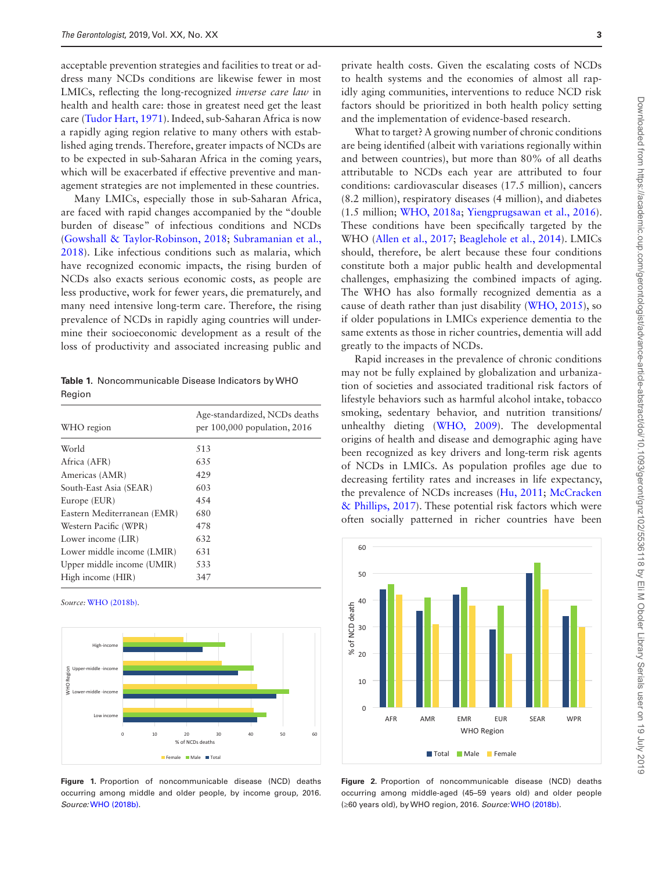acceptable prevention strategies and facilities to treat or address many NCDs conditions are likewise fewer in most LMICs, reflecting the long-recognized *inverse care law* in health and health care: those in greatest need get the least care [\(Tudor Hart, 1971\)](#page-5-17). Indeed, sub-Saharan Africa is now a rapidly aging region relative to many others with established aging trends. Therefore, greater impacts of NCDs are to be expected in sub-Saharan Africa in the coming years, which will be exacerbated if effective preventive and management strategies are not implemented in these countries.

Many LMICs, especially those in sub-Saharan Africa, are faced with rapid changes accompanied by the "double burden of disease" of infectious conditions and NCDs ([Gowshall & Taylor-Robinson, 2018;](#page-4-7) [Subramanian et al.,](#page-5-3)  [2018](#page-5-3)). Like infectious conditions such as malaria, which have recognized economic impacts, the rising burden of NCDs also exacts serious economic costs, as people are less productive, work for fewer years, die prematurely, and many need intensive long-term care. Therefore, the rising prevalence of NCDs in rapidly aging countries will undermine their socioeconomic development as a result of the loss of productivity and associated increasing public and

<span id="page-2-0"></span>**Table 1.** Noncommunicable Disease Indicators by WHO Region

| WHO region                  | Age-standardized, NCDs deaths<br>per $100,000$ population, $2016$ |
|-----------------------------|-------------------------------------------------------------------|
| World                       | 513                                                               |
| Africa (AFR)                | 635                                                               |
| Americas (AMR)              | 429                                                               |
| South-East Asia (SEAR)      | 603                                                               |
| Europe (EUR)                | 4.54                                                              |
| Eastern Mediterranean (EMR) | 680                                                               |
| Western Pacific (WPR)       | 478                                                               |
| Lower income (LIR)          | 632                                                               |
| Lower middle income (LMIR)  | 631                                                               |
| Upper middle income (UMIR)  | 533                                                               |
| High income (HIR)           | 347                                                               |

*Source:* [WHO \(2018b\)](#page-5-12).



<span id="page-2-1"></span>**Figure 1.** Proportion of noncommunicable disease (NCD) deaths occurring among middle and older people, by income group, 2016. *Source:* [WHO \(2018b\)](#page-5-12).

private health costs. Given the escalating costs of NCDs to health systems and the economies of almost all rapidly aging communities, interventions to reduce NCD risk factors should be prioritized in both health policy setting and the implementation of evidence-based research.

What to target? A growing number of chronic conditions are being identified (albeit with variations regionally within and between countries), but more than 80% of all deaths attributable to NCDs each year are attributed to four conditions: cardiovascular diseases (17.5 million), cancers (8.2 million), respiratory diseases (4 million), and diabetes (1.5 million; [WHO, 2018a](#page-5-2); [Yiengprugsawan et al., 2016](#page-5-10)). These conditions have been specifically targeted by the WHO [\(Allen et al., 2017](#page-4-5); [Beaglehole et al., 2014](#page-4-0)). LMICs should, therefore, be alert because these four conditions constitute both a major public health and developmental challenges, emphasizing the combined impacts of aging. The WHO has also formally recognized dementia as a cause of death rather than just disability [\(WHO, 2015\)](#page-5-4), so if older populations in LMICs experience dementia to the same extents as those in richer countries, dementia will add greatly to the impacts of NCDs.

Rapid increases in the prevalence of chronic conditions may not be fully explained by globalization and urbanization of societies and associated traditional risk factors of lifestyle behaviors such as harmful alcohol intake, tobacco smoking, sedentary behavior, and nutrition transitions/ unhealthy dieting [\(WHO, 2009\)](#page-5-18). The developmental origins of health and disease and demographic aging have been recognized as key drivers and long-term risk agents of NCDs in LMICs. As population profiles age due to decreasing fertility rates and increases in life expectancy, the prevalence of NCDs increases [\(Hu, 2011](#page-5-19); [McCracken](#page-5-1)  [& Phillips, 2017\)](#page-5-1). These potential risk factors which were often socially patterned in richer countries have been



<span id="page-2-2"></span>**Figure 2.** Proportion of noncommunicable disease (NCD) deaths occurring among middle-aged (45–59 years old) and older people (≥60 years old), by WHO region, 2016. *Source:* [WHO \(2018b\)](#page-5-12).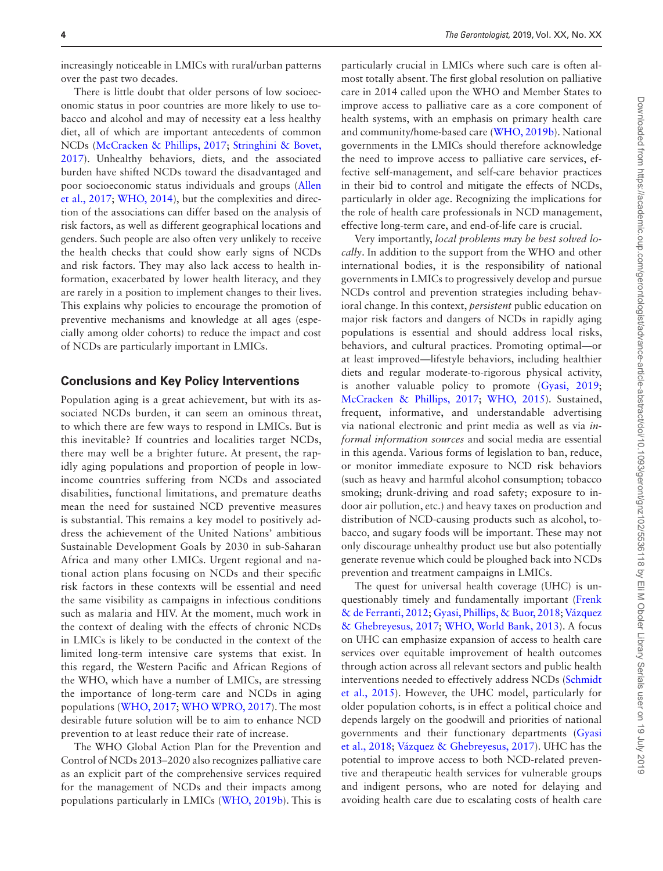increasingly noticeable in LMICs with rural/urban patterns over the past two decades.

There is little doubt that older persons of low socioeconomic status in poor countries are more likely to use tobacco and alcohol and may of necessity eat a less healthy diet, all of which are important antecedents of common NCDs [\(McCracken & Phillips, 2017;](#page-5-1) [Stringhini & Bovet,](#page-5-20)  [2017](#page-5-20)). Unhealthy behaviors, diets, and the associated burden have shifted NCDs toward the disadvantaged and poor socioeconomic status individuals and groups ([Allen](#page-4-5)  [et al., 2017](#page-4-5); [WHO, 2014](#page-5-14)), but the complexities and direction of the associations can differ based on the analysis of risk factors, as well as different geographical locations and genders. Such people are also often very unlikely to receive the health checks that could show early signs of NCDs and risk factors. They may also lack access to health information, exacerbated by lower health literacy, and they are rarely in a position to implement changes to their lives. This explains why policies to encourage the promotion of preventive mechanisms and knowledge at all ages (especially among older cohorts) to reduce the impact and cost of NCDs are particularly important in LMICs.

#### **Conclusions and Key Policy Interventions**

Population aging is a great achievement, but with its associated NCDs burden, it can seem an ominous threat, to which there are few ways to respond in LMICs. But is this inevitable? If countries and localities target NCDs, there may well be a brighter future. At present, the rapidly aging populations and proportion of people in lowincome countries suffering from NCDs and associated disabilities, functional limitations, and premature deaths mean the need for sustained NCD preventive measures is substantial. This remains a key model to positively address the achievement of the United Nations' ambitious Sustainable Development Goals by 2030 in sub-Saharan Africa and many other LMICs. Urgent regional and national action plans focusing on NCDs and their specific risk factors in these contexts will be essential and need the same visibility as campaigns in infectious conditions such as malaria and HIV. At the moment, much work in the context of dealing with the effects of chronic NCDs in LMICs is likely to be conducted in the context of the limited long-term intensive care systems that exist. In this regard, the Western Pacific and African Regions of the WHO, which have a number of LMICs, are stressing the importance of long-term care and NCDs in aging populations [\(WHO, 2017](#page-5-8); [WHO WPRO, 2017\)](#page-5-21). The most desirable future solution will be to aim to enhance NCD prevention to at least reduce their rate of increase.

The WHO Global Action Plan for the Prevention and Control of NCDs 2013–2020 also recognizes palliative care as an explicit part of the comprehensive services required for the management of NCDs and their impacts among populations particularly in LMICs [\(WHO, 2019b](#page-5-22)). This is

particularly crucial in LMICs where such care is often almost totally absent. The first global resolution on palliative care in 2014 called upon the WHO and Member States to improve access to palliative care as a core component of health systems, with an emphasis on primary health care and community/home-based care [\(WHO, 2019b\)](#page-5-22). National governments in the LMICs should therefore acknowledge the need to improve access to palliative care services, effective self-management, and self-care behavior practices in their bid to control and mitigate the effects of NCDs, particularly in older age. Recognizing the implications for the role of health care professionals in NCD management, effective long-term care, and end-of-life care is crucial.

Very importantly, *local problems may be best solved locally*. In addition to the support from the WHO and other international bodies, it is the responsibility of national governments in LMICs to progressively develop and pursue NCDs control and prevention strategies including behavioral change. In this context, *persistent* public education on major risk factors and dangers of NCDs in rapidly aging populations is essential and should address local risks, behaviors, and cultural practices. Promoting optimal—or at least improved—lifestyle behaviors, including healthier diets and regular moderate-to-rigorous physical activity, is another valuable policy to promote [\(Gyasi, 2019](#page-5-5); [McCracken & Phillips, 2017](#page-5-1); [WHO, 2015\)](#page-5-4). Sustained, frequent, informative, and understandable advertising via national electronic and print media as well as via *informal information sources* and social media are essential in this agenda. Various forms of legislation to ban, reduce, or monitor immediate exposure to NCD risk behaviors (such as heavy and harmful alcohol consumption; tobacco smoking; drunk-driving and road safety; exposure to indoor air pollution, etc.) and heavy taxes on production and distribution of NCD-causing products such as alcohol, tobacco, and sugary foods will be important. These may not only discourage unhealthy product use but also potentially generate revenue which could be ploughed back into NCDs prevention and treatment campaigns in LMICs.

The quest for universal health coverage (UHC) is unquestionably timely and fundamentally important [\(Frenk](#page-4-8)  [& de Ferranti, 2012;](#page-4-8) [Gyasi, Phillips, & Buor, 2018](#page-5-0); [Vázquez](#page-5-23)  [& Ghebreyesus, 2017](#page-5-23); [WHO, World Bank, 2013](#page-5-24)). A focus on UHC can emphasize expansion of access to health care services over equitable improvement of health outcomes through action across all relevant sectors and public health interventions needed to effectively address NCDs [\(Schmidt](#page-5-7)  [et al., 2015\)](#page-5-7). However, the UHC model, particularly for older population cohorts, is in effect a political choice and depends largely on the goodwill and priorities of national governments and their functionary departments [\(Gyasi](#page-5-0)  [et al., 2018;](#page-5-0) [Vázquez & Ghebreyesus, 2017](#page-5-23)). UHC has the potential to improve access to both NCD-related preventive and therapeutic health services for vulnerable groups and indigent persons, who are noted for delaying and avoiding health care due to escalating costs of health care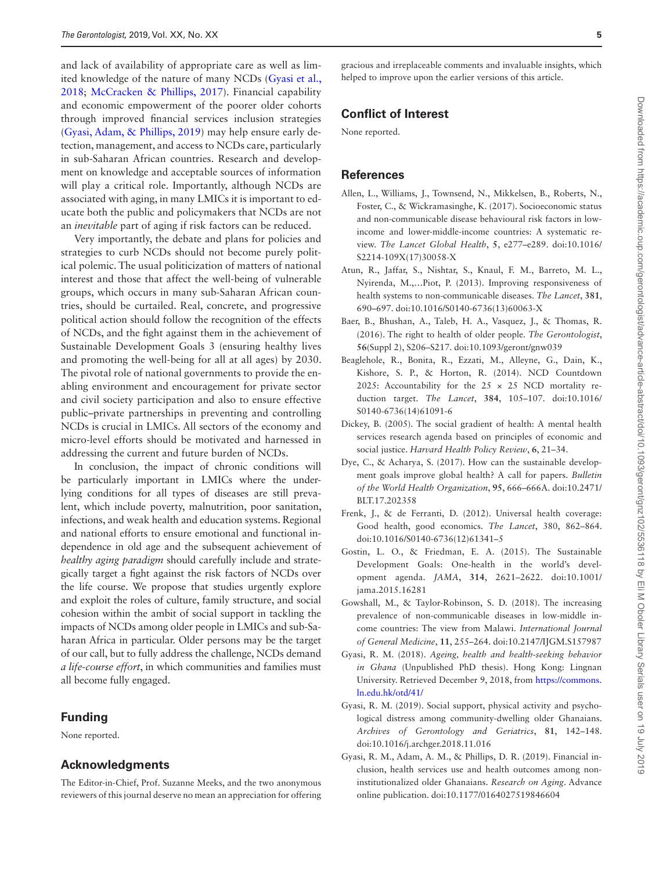and lack of availability of appropriate care as well as limited knowledge of the nature of many NCDs ([Gyasi et al.,](#page-5-0)  [2018](#page-5-0); [McCracken & Phillips, 2017](#page-5-1)). Financial capability and economic empowerment of the poorer older cohorts through improved financial services inclusion strategies ([Gyasi, Adam, & Phillips, 2019](#page-4-9)) may help ensure early detection, management, and access to NCDs care, particularly in sub-Saharan African countries. Research and development on knowledge and acceptable sources of information will play a critical role. Importantly, although NCDs are associated with aging, in many LMICs it is important to educate both the public and policymakers that NCDs are not an *inevitable* part of aging if risk factors can be reduced.

Very importantly, the debate and plans for policies and strategies to curb NCDs should not become purely political polemic. The usual politicization of matters of national interest and those that affect the well-being of vulnerable groups, which occurs in many sub-Saharan African countries, should be curtailed. Real, concrete, and progressive political action should follow the recognition of the effects of NCDs, and the fight against them in the achievement of Sustainable Development Goals 3 (ensuring healthy lives and promoting the well-being for all at all ages) by 2030. The pivotal role of national governments to provide the enabling environment and encouragement for private sector and civil society participation and also to ensure effective public–private partnerships in preventing and controlling NCDs is crucial in LMICs. All sectors of the economy and micro-level efforts should be motivated and harnessed in addressing the current and future burden of NCDs.

In conclusion, the impact of chronic conditions will be particularly important in LMICs where the underlying conditions for all types of diseases are still prevalent, which include poverty, malnutrition, poor sanitation, infections, and weak health and education systems. Regional and national efforts to ensure emotional and functional independence in old age and the subsequent achievement of *healthy aging paradigm* should carefully include and strategically target a fight against the risk factors of NCDs over the life course. We propose that studies urgently explore and exploit the roles of culture, family structure, and social cohesion within the ambit of social support in tackling the impacts of NCDs among older people in LMICs and sub-Saharan Africa in particular. Older persons may be the target of our call, but to fully address the challenge, NCDs demand *a life-course effort*, in which communities and families must all become fully engaged.

### **Funding**

None reported.

## **Acknowledgments**

The Editor-in-Chief, Prof. Suzanne Meeks, and the two anonymous reviewers of this journal deserve no mean an appreciation for offering

gracious and irreplaceable comments and invaluable insights, which helped to improve upon the earlier versions of this article.

### **Conflict of Interest**

None reported.

### **References**

- <span id="page-4-5"></span>Allen, L., Williams, J., Townsend, N., Mikkelsen, B., Roberts, N., Foster, C., & Wickramasinghe, K. (2017). Socioeconomic status and non-communicable disease behavioural risk factors in lowincome and lower-middle-income countries: A systematic review. *The Lancet Global Health*, **5**, e277–e289. doi:10.1016/ S2214-109X(17)30058-X
- <span id="page-4-4"></span>Atun, R., Jaffar, S., Nishtar, S., Knaul, F. M., Barreto, M. L., Nyirenda, M.,…Piot, P. (2013). Improving responsiveness of health systems to non-communicable diseases. *The Lancet*, **381**, 690–697. doi:10.1016/S0140-6736(13)60063-X
- <span id="page-4-1"></span>Baer, B., Bhushan, A., Taleb, H. A., Vasquez, J., & Thomas, R. (2016). The right to health of older people. *The Gerontologist*, **56**(Suppl 2), S206–S217. doi:10.1093/geront/gnw039
- <span id="page-4-0"></span>Beaglehole, R., Bonita, R., Ezzati, M., Alleyne, G., Dain, K., Kishore, S. P., & Horton, R. (2014). NCD Countdown 2025: Accountability for the  $25 \times 25$  NCD mortality reduction target. *The Lancet*, **384**, 105–107. doi:10.1016/ S0140-6736(14)61091-6
- <span id="page-4-6"></span>Dickey, B. (2005). The social gradient of health: A mental health services research agenda based on principles of economic and social justice. *Harvard Health Policy Review*, **6**, 21–34.
- <span id="page-4-3"></span>Dye, C., & Acharya, S. (2017). How can the sustainable development goals improve global health? A call for papers. *Bulletin of the World Health Organization*, **95**, 666–666A. doi:10.2471/ BLT.17.202358
- <span id="page-4-8"></span>Frenk, J., & de Ferranti, D. (2012). Universal health coverage: Good health, good economics. *The Lancet*, 380, 862–864. doi:10.1016/S0140-6736(12)61341–5
- <span id="page-4-2"></span>Gostin, L. O., & Friedman, E. A. (2015). The Sustainable Development Goals: One-health in the world's development agenda. *JAMA*, **314**, 2621–2622. doi:10.1001/ jama.2015.16281
- <span id="page-4-7"></span>Gowshall, M., & Taylor-Robinson, S. D. (2018). The increasing prevalence of non-communicable diseases in low-middle income countries: The view from Malawi. *International Journal of General Medicine*, **11**, 255–264. doi:10.2147/IJGM.S157987
- Gyasi, R. M. (2018). *Ageing, health and health-seeking behavior in Ghana* (Unpublished PhD thesis). Hong Kong: Lingnan University. Retrieved December 9, 2018, from [https://commons.](https://commons.ln.edu.hk/otd/41/) [ln.edu.hk/otd/41/](https://commons.ln.edu.hk/otd/41/)
- Gyasi, R. M. (2019). Social support, physical activity and psychological distress among community-dwelling older Ghanaians. *Archives of Gerontology and Geriatrics*, **81**, 142–148. doi:10.1016/j.archger.2018.11.016
- <span id="page-4-9"></span>Gyasi, R. M., Adam, A. M., & Phillips, D. R. (2019). Financial inclusion, health services use and health outcomes among noninstitutionalized older Ghanaians. *Research on Aging*. Advance online publication. doi:10.1177/0164027519846604